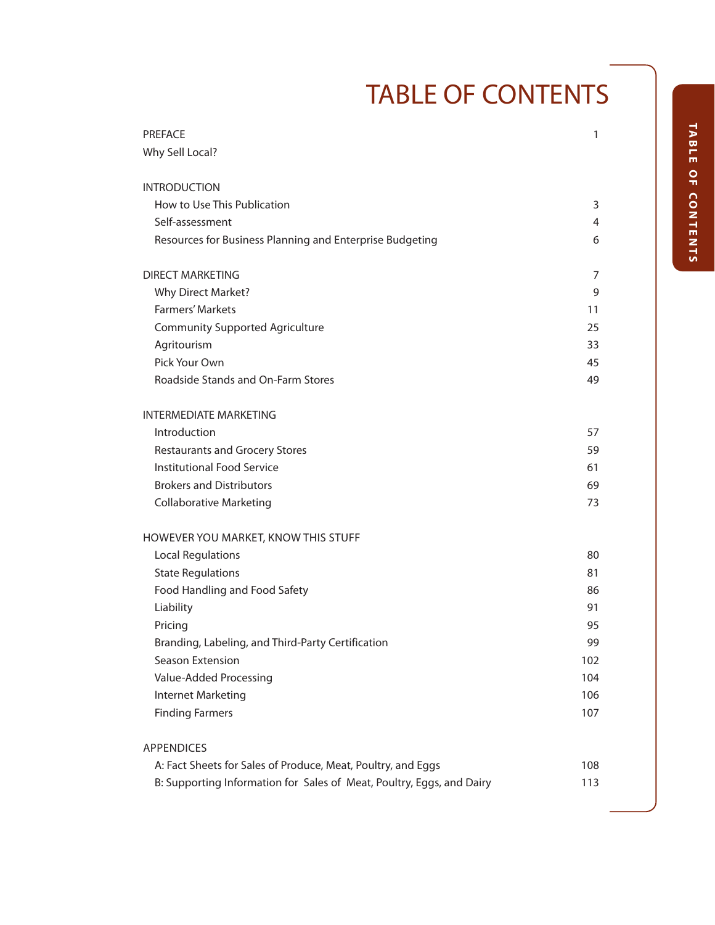# TABLE OF CONTENTS

| <b>PREFACE</b>                                                        | 1   |
|-----------------------------------------------------------------------|-----|
| Why Sell Local?                                                       |     |
|                                                                       |     |
| <b>INTRODUCTION</b>                                                   |     |
| How to Use This Publication                                           | 3   |
| Self-assessment                                                       | 4   |
| Resources for Business Planning and Enterprise Budgeting              | 6   |
| <b>DIRECT MARKETING</b>                                               | 7   |
| Why Direct Market?                                                    | 9   |
| Farmers' Markets                                                      | 11  |
| <b>Community Supported Agriculture</b>                                | 25  |
| Agritourism                                                           | 33  |
| Pick Your Own                                                         | 45  |
| Roadside Stands and On-Farm Stores                                    | 49  |
|                                                                       |     |
| <b>INTERMEDIATE MARKETING</b>                                         |     |
| Introduction                                                          | 57  |
| <b>Restaurants and Grocery Stores</b>                                 | 59  |
| <b>Institutional Food Service</b>                                     | 61  |
| <b>Brokers and Distributors</b>                                       | 69  |
| <b>Collaborative Marketing</b>                                        | 73  |
| HOWEVER YOU MARKET, KNOW THIS STUFF                                   |     |
| <b>Local Regulations</b>                                              | 80  |
| <b>State Regulations</b>                                              | 81  |
| Food Handling and Food Safety                                         | 86  |
| Liability                                                             | 91  |
| Pricing                                                               | 95  |
| Branding, Labeling, and Third-Party Certification                     | 99  |
| Season Extension                                                      | 102 |
| Value-Added Processing                                                | 104 |
| Internet Marketing                                                    | 106 |
| <b>Finding Farmers</b>                                                | 107 |
| <b>APPENDICES</b>                                                     |     |
| A: Fact Sheets for Sales of Produce, Meat, Poultry, and Eggs          | 108 |
| B: Supporting Information for Sales of Meat, Poultry, Eggs, and Dairy | 113 |
|                                                                       |     |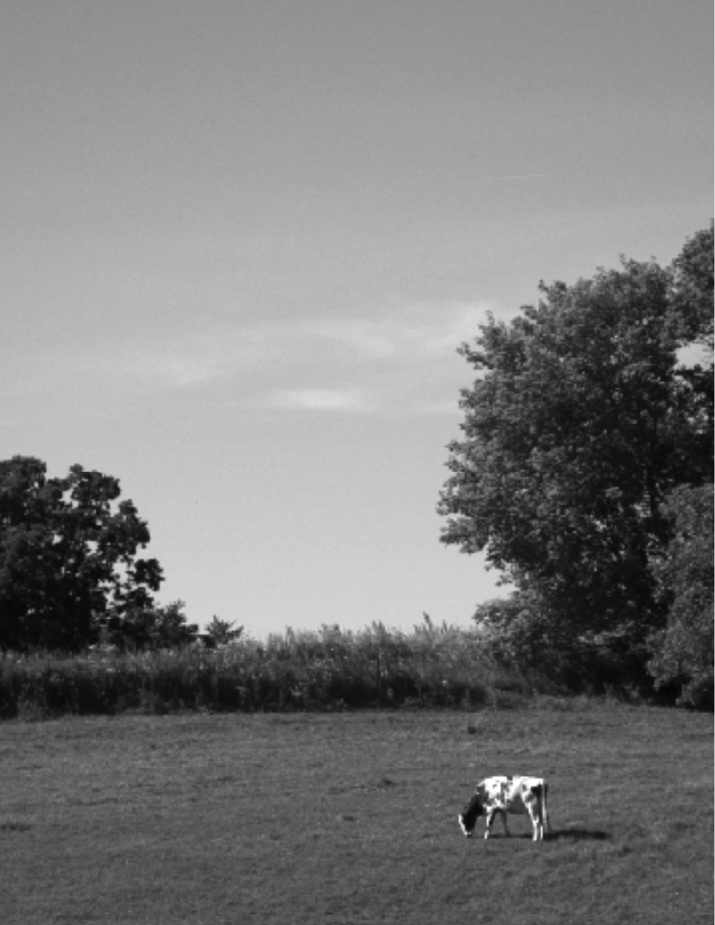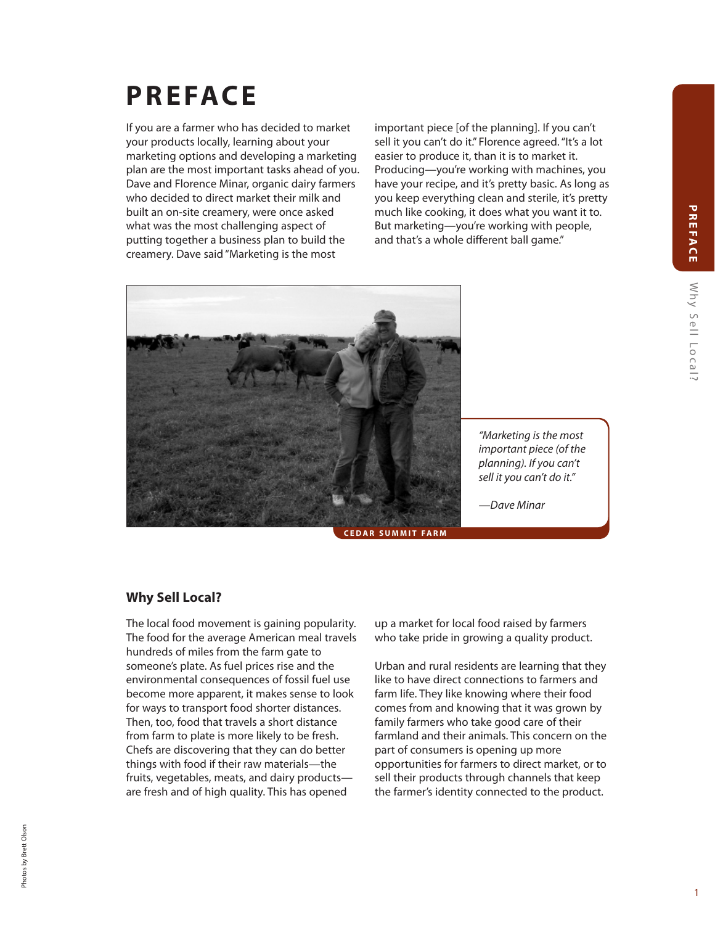# **P R E FAC E**

If you are a farmer who has decided to market your products locally, learning about your marketing options and developing a marketing plan are the most important tasks ahead of you. Dave and Florence Minar, organic dairy farmers who decided to direct market their milk and built an on-site creamery, were once asked what was the most challenging aspect of putting together a business plan to build the creamery. Dave said "Marketing is the most

important piece [of the planning]. If you can't sell it you can't do it." Florence agreed. "It's a lot easier to produce it, than it is to market it. Producing—you're working with machines, you have your recipe, and it's pretty basic. As long as you keep everything clean and sterile, it's pretty much like cooking, it does what you want it to. But marketing—you're working with people, and that's a whole different ball game."



**C E D A R S U M M I T F A R M**

*"Marketing is the most important piece (of the planning). If you can't sell it you can't do it."*

*—Dave Minar*

# **Why Sell Local?**

The local food movement is gaining popularity. The food for the average American meal travels hundreds of miles from the farm gate to someone's plate. As fuel prices rise and the environmental consequences of fossil fuel use become more apparent, it makes sense to look for ways to transport food shorter distances. Then, too, food that travels a short distance from farm to plate is more likely to be fresh. Chefs are discovering that they can do better things with food if their raw materials—the fruits, vegetables, meats, and dairy products are fresh and of high quality. This has opened

up a market for local food raised by farmers who take pride in growing a quality product.

Urban and rural residents are learning that they like to have direct connections to farmers and farm life. They like knowing where their food comes from and knowing that it was grown by family farmers who take good care of their farmland and their animals. This concern on the part of consumers is opening up more opportunities for farmers to direct market, or to sell their products through channels that keep the farmer's identity connected to the product.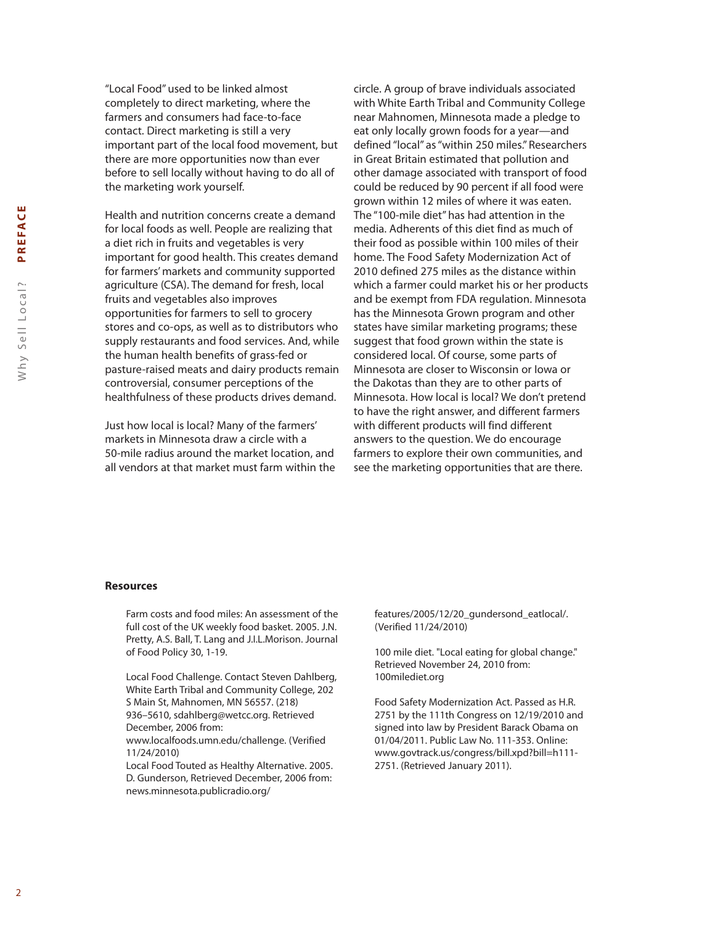"Local Food" used to be linked almost completely to direct marketing, where the farmers and consumers had face-to-face contact. Direct marketing is still a very important part of the local food movement, but there are more opportunities now than ever before to sell locally without having to do all of the marketing work yourself.

Health and nutrition concerns create a demand for local foods as well. People are realizing that a diet rich in fruits and vegetables is very important for good health. This creates demand for farmers' markets and community supported agriculture (CSA). The demand for fresh, local fruits and vegetables also improves opportunities for farmers to sell to grocery stores and co-ops, as well as to distributors who supply restaurants and food services. And, while the human health benefits of grass-fed or pasture-raised meats and dairy products remain controversial, consumer perceptions of the healthfulness of these products drives demand.

Just how local is local? Many of the farmers' markets in Minnesota draw a circle with a 50-mile radius around the market location, and all vendors at that market must farm within the

circle. A group of brave individuals associated with White Earth Tribal and Community College near Mahnomen, Minnesota made a pledge to eat only locally grown foods for a year—and defined "local" as "within 250 miles." Researchers in Great Britain estimated that pollution and other damage associated with transport of food could be reduced by 90 percent if all food were grown within 12 miles of where it was eaten. The "100-mile diet" has had attention in the media. Adherents of this diet find as much of their food as possible within 100 miles of their home. The Food Safety Modernization Act of 2010 defined 275 miles as the distance within which a farmer could market his or her products and be exempt from FDA regulation. Minnesota has the Minnesota Grown program and other states have similar marketing programs; these suggest that food grown within the state is considered local. Of course, some parts of Minnesota are closer to Wisconsin or Iowa or the Dakotas than they are to other parts of Minnesota. How local is local? We don't pretend to have the right answer, and different farmers with different products will find different answers to the question. We do encourage farmers to explore their own communities, and see the marketing opportunities that are there.

### **Resources**

Farm costs and food miles: An assessment of the full cost of the UK weekly food basket. 2005. J.N. Pretty, A.S. Ball, T. Lang and J.I.L.Morison. Journal of Food Policy 30, 1-19.

Local Food Challenge. Contact Steven Dahlberg, White Earth Tribal and Community College, 202 S Main St, Mahnomen, MN 56557. (218) 936–5610, sdahlberg@wetcc.org. Retrieved December, 2006 from: www.localfoods.umn.edu/challenge. (Verified

11/24/2010) Local Food Touted as Healthy Alternative. 2005. D. Gunderson, Retrieved December, 2006 from: news.minnesota.publicradio.org/

features/2005/12/20\_gundersond\_eatlocal/. (Verified 11/24/2010)

100 mile diet. "Local eating for global change." Retrieved November 24, 2010 from: 100milediet.org

Food Safety Modernization Act. Passed as H.R. 2751 by the 111th Congress on 12/19/2010 and signed into law by President Barack Obama on 01/04/2011. Public Law No. 111-353. Online: www.govtrack.us/congress/bill.xpd?bill=h111- 2751. (Retrieved January 2011).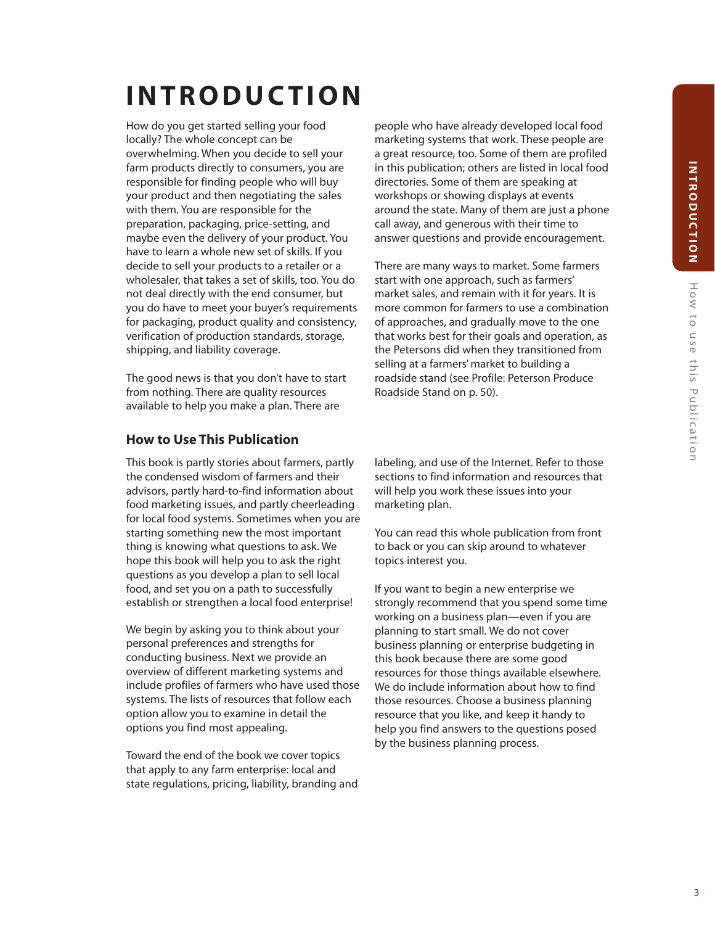# **INTRODUCTION** How to use this Publication **INIROUGHOM** How to use this publication

# **I N T R O D U C T I O N**

How do you get started selling your food locally? The whole concept can be overwhelming. When you decide to sell your farm products directly to consumers, you are responsible for finding people who will buy your product and then negotiating the sales with them. You are responsible for the preparation, packaging, price-setting, and maybe even the delivery of your product. You have to learn a whole new set of skills. If you decide to sell your products to a retailer or a wholesaler, that takes a set of skills, too. You do not deal directly with the end consumer, but you do have to meet your buyer's requirements for packaging, product quality and consistency, verification of production standards, storage, shipping, and liability coverage.

The good news is that you don't have to start from nothing. There are quality resources available to help you make a plan. There are

people who have already developed local food marketing systems that work. These people are a great resource, too. Some of them are profiled in this publication; others are listed in local food directories. Some of them are speaking at workshops or showing displays at events around the state. Many of them are just a phone call away, and generous with their time to answer questions and provide encouragement.

There are many ways to market. Some farmers start with one approach, such as farmers' market sales, and remain with it for years. It is more common for farmers to use a combination of approaches, and gradually move to the one that works best for their goals and operation, as the Petersons did when they transitioned from selling at a farmers' market to building a roadside stand (see Profile: Peterson Produce Roadside Stand on p. 50).

# **How to Use This Publication**

This book is partly stories about farmers, partly the condensed wisdom of farmers and their advisors, partly hard-to-find information about food marketing issues, and partly cheerleading for local food systems. Sometimes when you are starting something new the most important thing is knowing what questions to ask. We hope this book will help you to ask the right questions as you develop a plan to sell local food, and set you on a path to successfully establish or strengthen a local food enterprise!

We begin by asking you to think about your personal preferences and strengths for conducting business. Next we provide an overview of different marketing systems and include profiles of farmers who have used those systems. The lists of resources that follow each option allow you to examine in detail the options you find most appealing.

Toward the end of the book we cover topics that apply to any farm enterprise: local and state regulations, pricing, liability, branding and

labeling, and use of the Internet. Refer to those sections to find information and resources that will help you work these issues into your marketing plan.

You can read this whole publication from front to back or you can skip around to whatever topics interest you.

If you want to begin a new enterprise we strongly recommend that you spend some time working on a business plan—even if you are planning to start small. We do not cover business planning or enterprise budgeting in this book because there are some good resources for those things available elsewhere. We do include information about how to find those resources. Choose a business planning resource that you like, and keep it handy to help you find answers to the questions posed by the business planning process.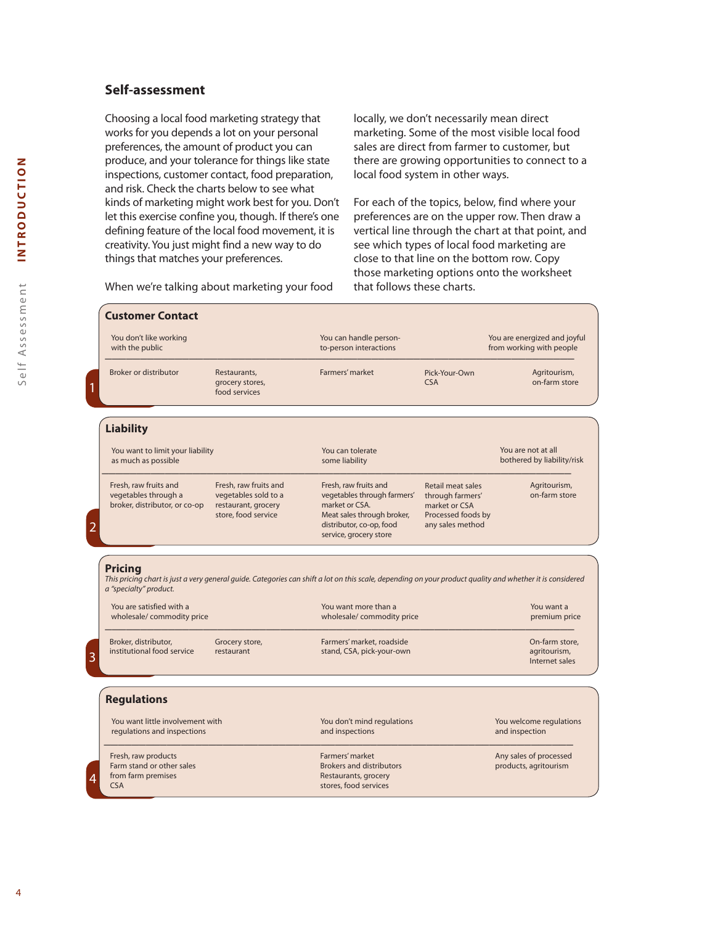## **Self-assessment**

Choosing a local food marketing strategy that works for you depends a lot on your personal preferences, the amount of product you can produce, and your tolerance for things like state inspections, customer contact, food preparation, and risk. Check the charts below to see what kinds of marketing might work best for you. Don't let this exercise confine you, though. If there's one defining feature of the local food movement, it is creativity. You just might find a new way to do things that matches your preferences.

locally, we don't necessarily mean direct marketing. Some of the most visible local food sales are direct from farmer to customer, but there are growing opportunities to connect to a local food system in other ways.

For each of the topics, below, find where your preferences are on the upper row. Then draw a vertical line through the chart at that point, and see which types of local food marketing are close to that line on the bottom row. Copy those marketing options onto the worksheet that follows these charts.

When we're talking about marketing your food

|                | <b>Customer Contact</b>                                                                                                                                                                               |                                                                                             |                                                                                                                                                            |                                                                                                  |                                                          |  |  |
|----------------|-------------------------------------------------------------------------------------------------------------------------------------------------------------------------------------------------------|---------------------------------------------------------------------------------------------|------------------------------------------------------------------------------------------------------------------------------------------------------------|--------------------------------------------------------------------------------------------------|----------------------------------------------------------|--|--|
|                | You don't like working<br>with the public                                                                                                                                                             |                                                                                             | You can handle person-<br>to-person interactions                                                                                                           |                                                                                                  | You are energized and joyful<br>from working with people |  |  |
|                | Broker or distributor                                                                                                                                                                                 | Restaurants,<br>grocery stores,<br>food services                                            | Farmers' market                                                                                                                                            | Pick-Your-Own<br><b>CSA</b>                                                                      | Agritourism,<br>on-farm store                            |  |  |
|                | <b>Liability</b>                                                                                                                                                                                      |                                                                                             |                                                                                                                                                            |                                                                                                  |                                                          |  |  |
|                | You want to limit your liability<br>as much as possible                                                                                                                                               |                                                                                             | You can tolerate<br>some liability                                                                                                                         |                                                                                                  | You are not at all<br>bothered by liability/risk         |  |  |
| $\overline{2}$ | Fresh, raw fruits and<br>vegetables through a<br>broker, distributor, or co-op                                                                                                                        | Fresh, raw fruits and<br>vegetables sold to a<br>restaurant, grocery<br>store, food service | Fresh, raw fruits and<br>vegetables through farmers'<br>market or CSA.<br>Meat sales through broker,<br>distributor, co-op, food<br>service, grocery store | Retail meat sales<br>through farmers'<br>market or CSA<br>Processed foods by<br>any sales method | Agritourism,<br>on-farm store                            |  |  |
|                | <b>Pricing</b><br>This pricing chart is just a very general quide. Categories can shift a lot on this scale, depending on your product quality and whether it is considered<br>a "specialty" product. |                                                                                             |                                                                                                                                                            |                                                                                                  |                                                          |  |  |
|                | You are satisfied with a<br>wholesale/commodity price                                                                                                                                                 |                                                                                             | You want more than a<br>wholesale/commodity price                                                                                                          |                                                                                                  | You want a<br>premium price                              |  |  |
| 3              | Broker, distributor,<br>institutional food service                                                                                                                                                    | Grocery store,<br>restaurant                                                                | Farmers' market, roadside<br>stand, CSA, pick-your-own                                                                                                     |                                                                                                  | On-farm store,<br>agritourism,<br>Internet sales         |  |  |
|                |                                                                                                                                                                                                       |                                                                                             |                                                                                                                                                            |                                                                                                  |                                                          |  |  |
|                | <b>Regulations</b>                                                                                                                                                                                    |                                                                                             |                                                                                                                                                            |                                                                                                  |                                                          |  |  |
|                | You want little involvement with<br>regulations and inspections                                                                                                                                       |                                                                                             | You don't mind regulations<br>and inspections                                                                                                              |                                                                                                  | You welcome regulations<br>and inspection                |  |  |
| 4              | Fresh, raw products<br>Farm stand or other sales<br>from farm premises<br><b>CSA</b>                                                                                                                  |                                                                                             | Farmers' market<br><b>Brokers and distributors</b><br>Restaurants, grocery<br>stores, food services                                                        |                                                                                                  | Any sales of processed<br>products, agritourism          |  |  |

**INTRODUCTION** 4 **I N T R O D U C T I O N** S e l f A s s e s s m e n t Self Assessment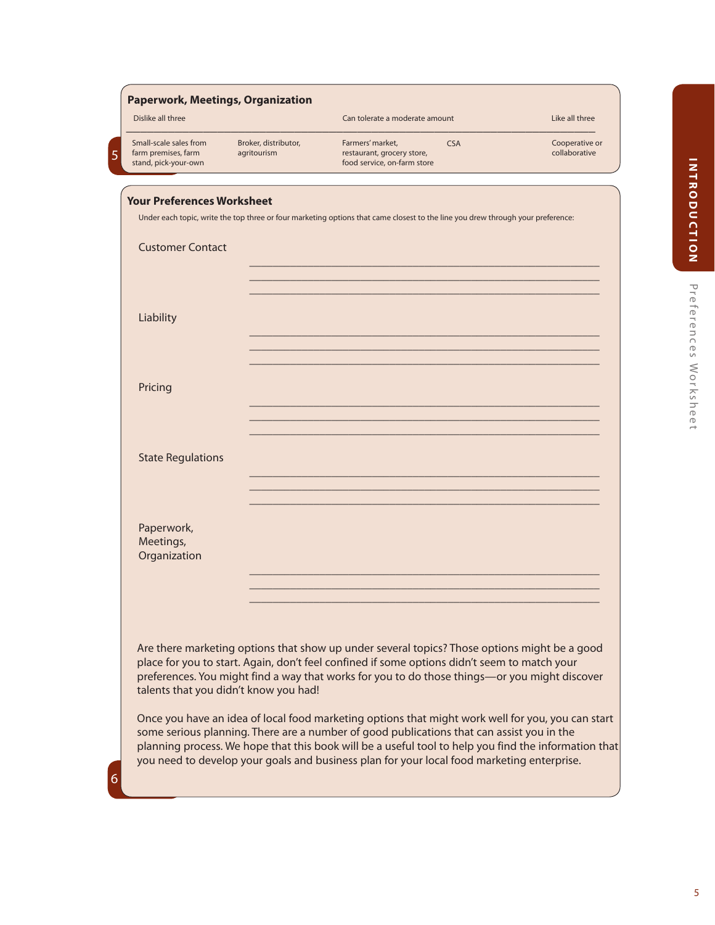| <b>Paperwork, Meetings, Organization</b>                              |                                     |                                                                               |            |                                 |  |  |
|-----------------------------------------------------------------------|-------------------------------------|-------------------------------------------------------------------------------|------------|---------------------------------|--|--|
| Dislike all three                                                     |                                     | Can tolerate a moderate amount                                                |            | Like all three                  |  |  |
| Small-scale sales from<br>farm premises, farm<br>stand, pick-your-own | Broker, distributor,<br>agritourism | Farmers' market,<br>restaurant, grocery store,<br>food service, on-farm store | <b>CSA</b> | Cooperative or<br>collaborative |  |  |

### **Your Preferences Worksheet**

5

Under each topic, write the top three or four marketing options that came closest to the line you drew through your preference:

| <b>Customer Contact</b>                 |                                                                                                                                                                                                                                                                                               |
|-----------------------------------------|-----------------------------------------------------------------------------------------------------------------------------------------------------------------------------------------------------------------------------------------------------------------------------------------------|
|                                         |                                                                                                                                                                                                                                                                                               |
| Liability                               |                                                                                                                                                                                                                                                                                               |
|                                         |                                                                                                                                                                                                                                                                                               |
| Pricing                                 |                                                                                                                                                                                                                                                                                               |
|                                         |                                                                                                                                                                                                                                                                                               |
| <b>State Regulations</b>                |                                                                                                                                                                                                                                                                                               |
| Paperwork,<br>Meetings,<br>Organization |                                                                                                                                                                                                                                                                                               |
|                                         |                                                                                                                                                                                                                                                                                               |
|                                         | Are there marketing options that show up under several topics? Those options might be a good<br>place for you to start. Again, don't feel confined if some options didn't seem to match your<br>preferences. You might find a way that works for you to do those things—or you might discover |

s. You might find a way that works for you to do those things—or y talents that you didn't know you had!

Once you have an idea of local food marketing options that might work well for you, you can start some serious planning. There are a number of good publications that can assist you in the planning process. We hope that this book will be a useful tool to help you find the information that you need to develop your goals and business plan for your local food marketing enterprise.